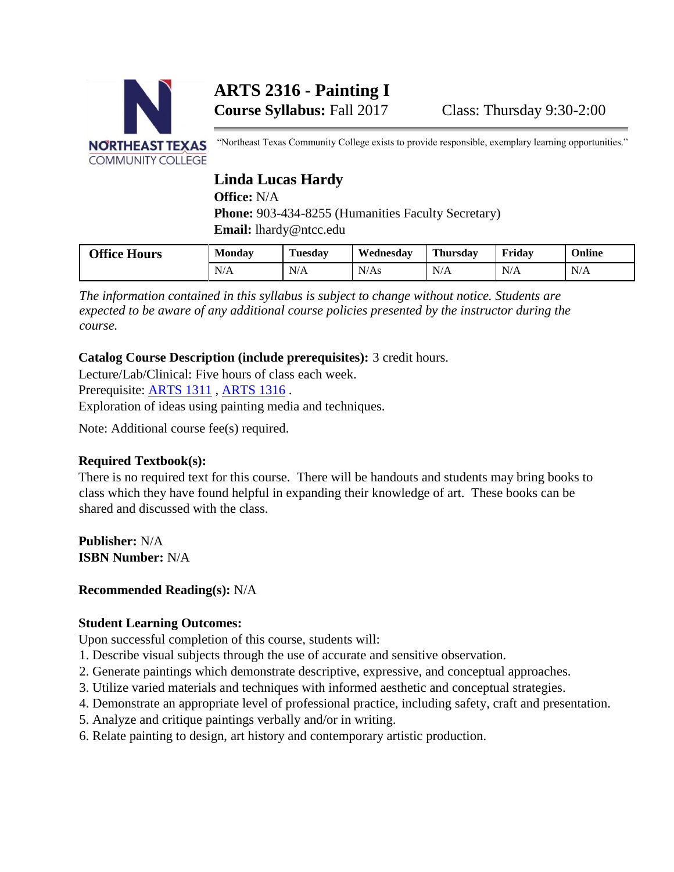

# **ARTS 2316 - Painting I**

"Northeast Texas Community College exists to provide responsible, exemplary learning opportunities."

# **Linda Lucas Hardy**

**Office:** N/A

Phone: 903-434-8255 (Humanities Faculty Secretary) **Email:** lhardy@ntcc.edu

| <b>Office Hours</b> | <b>Monday</b> | <b>CONTRACTOR</b><br>Tuesday | Wednesdav | <b>Thursday</b> | Fridav | Online |
|---------------------|---------------|------------------------------|-----------|-----------------|--------|--------|
|                     | N/A           | N/A                          | N/As      | N/A             | N/A    | N/A    |

*The information contained in this syllabus is subject to change without notice. Students are expected to be aware of any additional course policies presented by the instructor during the course.* 

## **Catalog Course Description (include prerequisites):** 3 credit hours.

Lecture/Lab/Clinical: Five hours of class each week. Prerequisite: [ARTS 1311](http://catalog.ntcc.edu/content.php?catoid=4&catoid=4&navoid=790&filter%5Bitem_type%5D=3&filter%5Bonly_active%5D=1&filter%5B3%5D=1&filter%5Bcpage%5D=1#tt8202), [ARTS 1316](http://catalog.ntcc.edu/content.php?catoid=4&catoid=4&navoid=790&filter%5Bitem_type%5D=3&filter%5Bonly_active%5D=1&filter%5B3%5D=1&filter%5Bcpage%5D=1#tt1447).

Exploration of ideas using painting media and techniques.

Note: Additional course fee(s) required.

# **Required Textbook(s):**

There is no required text for this course. There will be handouts and students may bring books to class which they have found helpful in expanding their knowledge of art. These books can be shared and discussed with the class.

**Publisher:** N/A **ISBN Number:** N/A

# **Recommended Reading(s):** N/A

#### **Student Learning Outcomes:**

Upon successful completion of this course, students will:

- 1. Describe visual subjects through the use of accurate and sensitive observation.
- 2. Generate paintings which demonstrate descriptive, expressive, and conceptual approaches.
- 3. Utilize varied materials and techniques with informed aesthetic and conceptual strategies.
- 4. Demonstrate an appropriate level of professional practice, including safety, craft and presentation.
- 5. Analyze and critique paintings verbally and/or in writing.
- 6. Relate painting to design, art history and contemporary artistic production.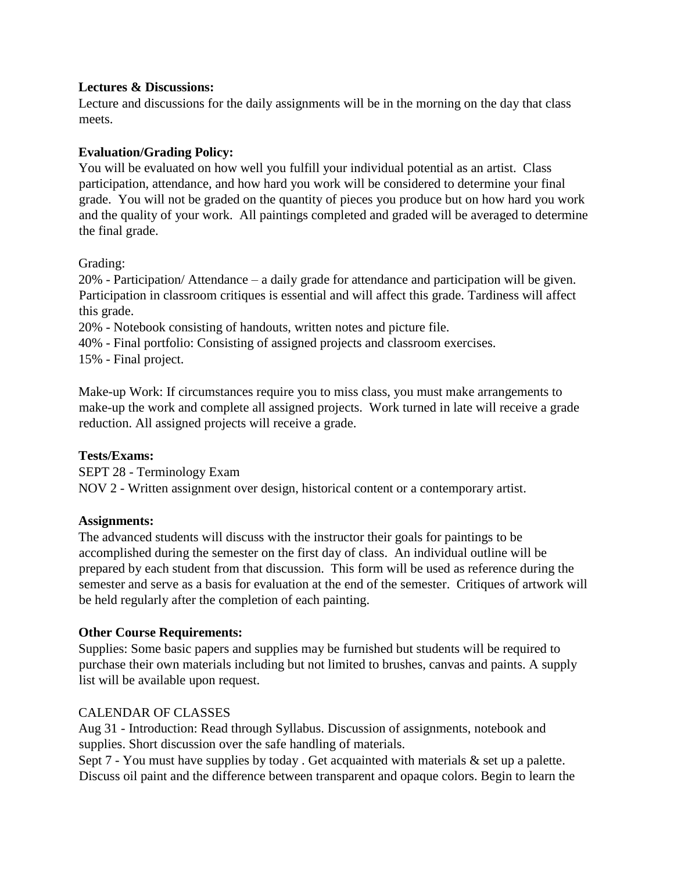#### **Lectures & Discussions:**

Lecture and discussions for the daily assignments will be in the morning on the day that class meets.

### **Evaluation/Grading Policy:**

You will be evaluated on how well you fulfill your individual potential as an artist. Class participation, attendance, and how hard you work will be considered to determine your final grade. You will not be graded on the quantity of pieces you produce but on how hard you work and the quality of your work. All paintings completed and graded will be averaged to determine the final grade.

Grading:

20% - Participation/ Attendance – a daily grade for attendance and participation will be given. Participation in classroom critiques is essential and will affect this grade. Tardiness will affect this grade.

20% - Notebook consisting of handouts, written notes and picture file.

40% - Final portfolio: Consisting of assigned projects and classroom exercises.

15% - Final project.

Make-up Work: If circumstances require you to miss class, you must make arrangements to make-up the work and complete all assigned projects. Work turned in late will receive a grade reduction. All assigned projects will receive a grade.

#### **Tests/Exams:**

SEPT 28 - Terminology Exam NOV 2 - Written assignment over design, historical content or a contemporary artist.

#### **Assignments:**

The advanced students will discuss with the instructor their goals for paintings to be accomplished during the semester on the first day of class. An individual outline will be prepared by each student from that discussion. This form will be used as reference during the semester and serve as a basis for evaluation at the end of the semester. Critiques of artwork will be held regularly after the completion of each painting.

#### **Other Course Requirements:**

Supplies: Some basic papers and supplies may be furnished but students will be required to purchase their own materials including but not limited to brushes, canvas and paints. A supply list will be available upon request.

#### CALENDAR OF CLASSES

Aug 31 - Introduction: Read through Syllabus. Discussion of assignments, notebook and supplies. Short discussion over the safe handling of materials.

Sept  $7$  - You must have supplies by today . Get acquainted with materials  $\&$  set up a palette. Discuss oil paint and the difference between transparent and opaque colors. Begin to learn the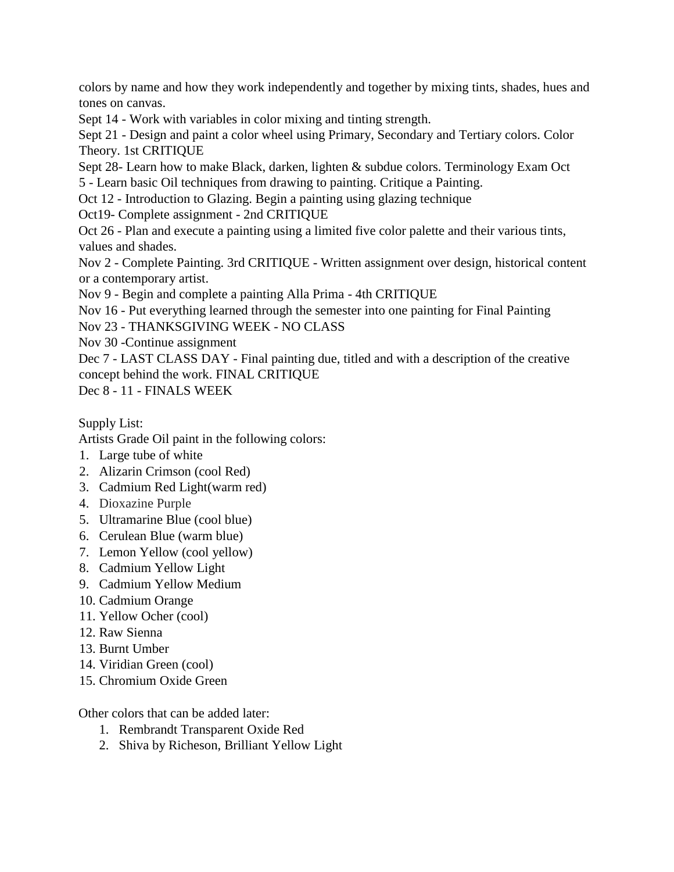colors by name and how they work independently and together by mixing tints, shades, hues and tones on canvas.

Sept 14 - Work with variables in color mixing and tinting strength.

Sept 21 - Design and paint a color wheel using Primary, Secondary and Tertiary colors. Color Theory. 1st CRITIQUE

Sept 28- Learn how to make Black, darken, lighten & subdue colors. Terminology Exam Oct 5 - Learn basic Oil techniques from drawing to painting. Critique a Painting.

Oct 12 - Introduction to Glazing. Begin a painting using glazing technique

Oct19- Complete assignment - 2nd CRITIQUE

Oct 26 - Plan and execute a painting using a limited five color palette and their various tints, values and shades.

Nov 2 - Complete Painting. 3rd CRITIQUE - Written assignment over design, historical content or a contemporary artist.

Nov 9 - Begin and complete a painting Alla Prima - 4th CRITIQUE

Nov 16 - Put everything learned through the semester into one painting for Final Painting

Nov 23 - THANKSGIVING WEEK - NO CLASS

Nov 30 -Continue assignment

Dec 7 - LAST CLASS DAY - Final painting due, titled and with a description of the creative concept behind the work. FINAL CRITIQUE

Dec 8 - 11 - FINALS WEEK

Supply List:

Artists Grade Oil paint in the following colors:

- 1. Large tube of white
- 2. Alizarin Crimson (cool Red)
- 3. Cadmium Red Light(warm red)
- 4. Dioxazine Purple
- 5. Ultramarine Blue (cool blue)
- 6. Cerulean Blue (warm blue)
- 7. Lemon Yellow (cool yellow)
- 8. Cadmium Yellow Light
- 9. Cadmium Yellow Medium
- 10. Cadmium Orange
- 11. Yellow Ocher (cool)
- 12. Raw Sienna
- 13. Burnt Umber
- 14. Viridian Green (cool)
- 15. Chromium Oxide Green

Other colors that can be added later:

- 1. Rembrandt Transparent Oxide Red
- 2. Shiva by Richeson, Brilliant Yellow Light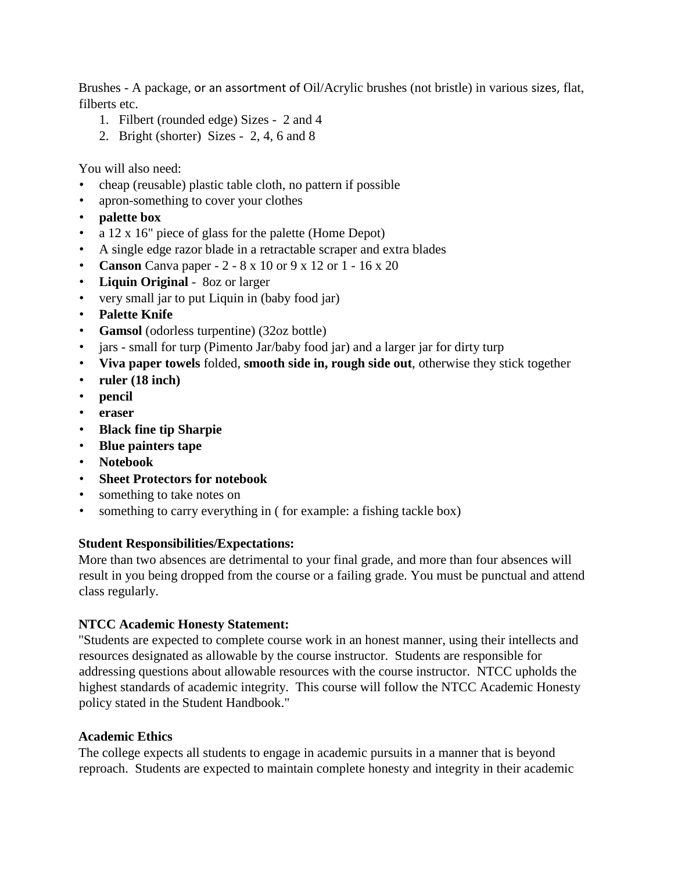Brushes - A package, or an assortment of Oil/Acrylic brushes (not bristle) in various sizes, flat, filberts etc.

- 1. Filbert (rounded edge) Sizes 2 and 4
- 2. Bright (shorter) Sizes 2, 4, 6 and 8

You will also need:

- cheap (reusable) plastic table cloth, no pattern if possible
- apron-something to cover your clothes
- **palette box**
- a 12 x 16" piece of glass for the palette (Home Depot)
- A single edge razor blade in a retractable scraper and extra blades
- **Canson** Canva paper 2 8 x 10 or 9 x 12 or 1 16 x 20
- **Liquin Original** 8oz or larger
- very small jar to put Liquin in (baby food jar)
- **Palette Knife**
- **Gamsol** (odorless turpentine) (32oz bottle)
- jars small for turp (Pimento Jar/baby food jar) and a larger jar for dirty turp
- **Viva paper towels** folded, **smooth side in, rough side out**, otherwise they stick together
- **ruler (18 inch)**
- **pencil**
- **eraser**
- **Black fine tip Sharpie**
- **Blue painters tape**
- **Notebook**
- **Sheet Protectors for notebook**
- something to take notes on
- something to carry everything in ( for example: a fishing tackle box)

#### **Student Responsibilities/Expectations:**

More than two absences are detrimental to your final grade, and more than four absences will result in you being dropped from the course or a failing grade. You must be punctual and attend class regularly.

#### **NTCC Academic Honesty Statement:**

"Students are expected to complete course work in an honest manner, using their intellects and resources designated as allowable by the course instructor. Students are responsible for addressing questions about allowable resources with the course instructor. NTCC upholds the highest standards of academic integrity. This course will follow the NTCC Academic Honesty policy stated in the Student Handbook."

#### **Academic Ethics**

The college expects all students to engage in academic pursuits in a manner that is beyond reproach. Students are expected to maintain complete honesty and integrity in their academic